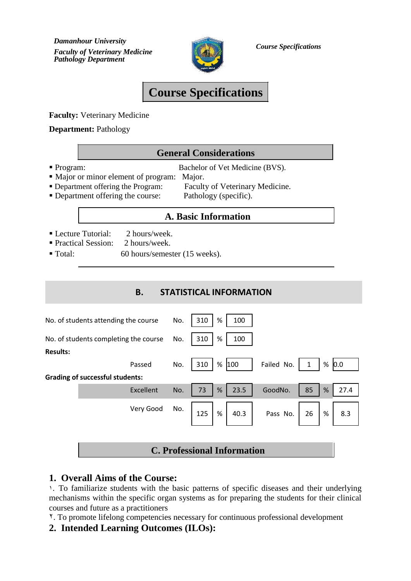*Damanhour University Faculty of Veterinary Medicine Course Specifications Pathology Department*



# **Course Specifications**

**Faculty:** Veterinary Medicine

**Department:** Pathology

## **General Considerations**

• Program: Bachelor of Vet Medicine (BVS).

- Major or minor element of program: Major. Department offering the Program:
	- Faculty of Veterinary Medicine.
- Department offering the course:

Pathology (specific).

## **A. Basic Information**

- Lecture Tutorial: 2 hours/week.
- Practical Session: 2 hours/week.
- Total: 60 hours/semester (15 weeks).

## **B. STATISTICAL INFORMATION**

|                                       |                                        |           |     |         |                     | <b>C. Professional Information</b> |               |  |    |   |      |
|---------------------------------------|----------------------------------------|-----------|-----|---------|---------------------|------------------------------------|---------------|--|----|---|------|
|                                       |                                        |           |     |         |                     |                                    |               |  |    |   |      |
|                                       |                                        | Very Good | No. | $125$ % |                     |                                    | 40.3 Pass No. |  | 26 | % | 8.3  |
|                                       |                                        | Excellent | No. | 73      | $\%$                | 23.5                               | GoodNo.       |  | 85 | % | 27.4 |
|                                       | <b>Grading of successful students:</b> |           |     |         |                     |                                    |               |  |    |   |      |
|                                       | Passed                                 |           | No. | 310     | % 100<br>Failed No. |                                    |               |  | 1  | % | 0.0  |
| <b>Results:</b>                       |                                        |           |     |         |                     |                                    |               |  |    |   |      |
| No. of students completing the course |                                        | No.       | 310 | %       | 100                 |                                    |               |  |    |   |      |
| No. of students attending the course  | No.                                    | 310       | %   | 100     |                     |                                    |               |  |    |   |      |
|                                       |                                        |           |     |         |                     |                                    |               |  |    |   |      |

## **1. Overall Aims of the Course:**

١. To familiarize students with the basic patterns of specific diseases and their underlying mechanisms within the specific organ systems as for preparing the students for their clinical courses and future as a practitioners

٢. To promote lifelong competencies necessary for continuous professional development

## **2. Intended Learning Outcomes (ILOs):**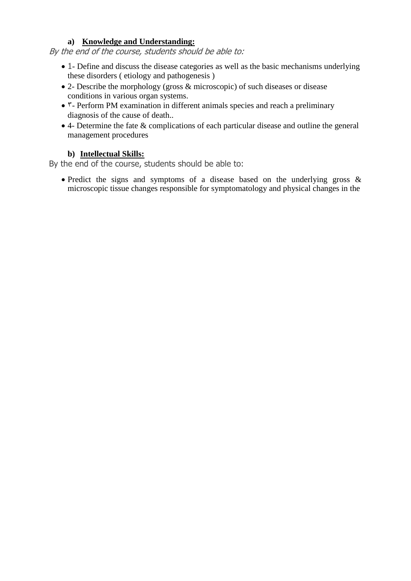#### **a) Knowledge and Understanding:**

By the end of the course, students should be able to:

- 1- Define and discuss the disease categories as well as the basic mechanisms underlying these disorders ( etiology and pathogenesis )
- 2- Describe the morphology (gross & microscopic) of such diseases or disease conditions in various organ systems.
- ٣- Perform PM examination in different animals species and reach a preliminary diagnosis of the cause of death..
- 4- Determine the fate & complications of each particular disease and outline the general management procedures

#### **b) Intellectual Skills:**

By the end of the course, students should be able to:

• Predict the signs and symptoms of a disease based on the underlying gross & microscopic tissue changes responsible for symptomatology and physical changes in the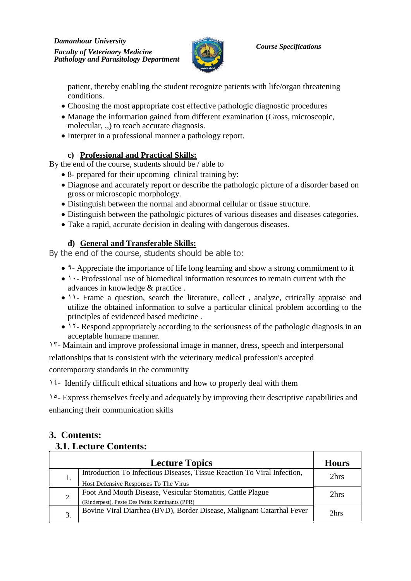

patient, thereby enabling the student recognize patients with life/organ threatening conditions.

- Choosing the most appropriate cost effective pathologic diagnostic procedures
- Manage the information gained from different examination (Gross, microscopic, molecular, ,,) to reach accurate diagnosis.
- Interpret in a professional manner a pathology report.

## **c) Professional and Practical Skills:**

By the end of the course, students should be / able to

- 8- prepared for their upcoming clinical training by:
- Diagnose and accurately report or describe the pathologic picture of a disorder based on gross or microscopic morphology.
- Distinguish between the normal and abnormal cellular or tissue structure.
- Distinguish between the pathologic pictures of various diseases and diseases categories.
- Take a rapid, accurate decision in dealing with dangerous diseases.

## **d) General and Transferable Skills:**

By the end of the course, students should be able to:

- ٩- Appreciate the importance of life long learning and show a strong commitment to it
- ١٠- Professional use of biomedical information resources to remain current with the advances in knowledge & practice .
- 11- Frame a question, search the literature, collect, analyze, critically appraise and utilize the obtained information to solve a particular clinical problem according to the principles of evidenced based medicine .
- 11- Respond appropriately according to the seriousness of the pathologic diagnosis in an acceptable humane manner.

١٣- Maintain and improve professional image in manner, dress, speech and interpersonal relationships that is consistent with the veterinary medical profession's accepted contemporary standards in the community

١٤- Identify difficult ethical situations and how to properly deal with them

١٥- Express themselves freely and adequately by improving their descriptive capabilities and enhancing their communication skills

## **3. Contents: 3.1. Lecture Contents:**

|    | <b>Lecture Topics</b>                                                                                             | <b>Hours</b> |
|----|-------------------------------------------------------------------------------------------------------------------|--------------|
| Ī. | Introduction To Infectious Diseases, Tissue Reaction To Viral Infection,<br>Host Defensive Responses To The Virus | 2hrs         |
| 2. | Foot And Mouth Disease, Vesicular Stomatitis, Cattle Plague<br>(Rinderpest), Peste Des Petits Ruminants (PPR)     | 2hrs         |
| 3. | Bovine Viral Diarrhea (BVD), Border Disease, Malignant Catarrhal Fever                                            | 2hrs         |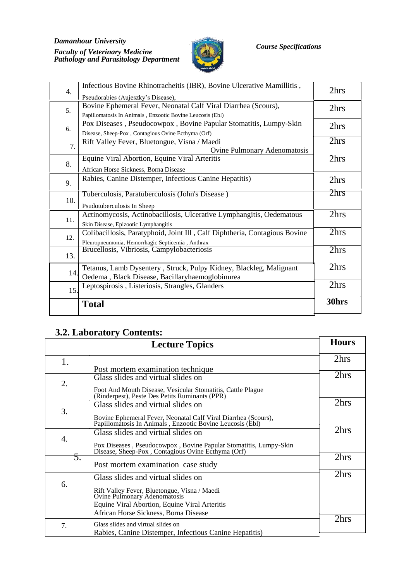#### *Damanhour University Faculty of Veterinary Medicine Course Specifications Pathology and Parasitology Department*



| 4.  | Infectious Bovine Rhinotracheitis (IBR), Bovine Ulcerative Mamillitis,<br>Pseudorabies (Aujeszky's Disease),                   | 2hrs             |
|-----|--------------------------------------------------------------------------------------------------------------------------------|------------------|
| 5.  | Bovine Ephemeral Fever, Neonatal Calf Viral Diarrhea (Scours),<br>Papillomatosis In Animals, Enzootic Bovine Leucosis (Ebl)    | 2hrs             |
| 6.  | Pox Diseases, Pseudocowpox, Bovine Papular Stomatitis, Lumpy-Skin<br>Disease, Sheep-Pox, Contagious Ovine Ecthyma (Orf)        | 2hrs             |
| 7.  | Rift Valley Fever, Bluetongue, Visna / Maedi<br>Ovine Pulmonary Adenomatosis                                                   | 2hrs             |
| 8.  | Equine Viral Abortion, Equine Viral Arteritis<br>African Horse Sickness, Borna Disease                                         | 2hrs             |
| 9.  | Rabies, Canine Distemper, Infectious Canine Hepatitis)                                                                         | 2hrs             |
| 10. | Tuberculosis, Paratuberculosis (John's Disease)<br>Psudotuberculosis In Sheep                                                  | 2 <sub>hrs</sub> |
| 11. | Actinomycosis, Actinobacillosis, Ulcerative Lymphangitis, Oedematous<br>Skin Disease, Epizootic Lymphangitis                   | 2hrs             |
| 12. | Colibacillosis, Paratyphoid, Joint Ill, Calf Diphtheria, Contagious Bovine<br>Pleuropneumonia, Hemorrhagic Septicemia, Anthrax | 2hrs             |
| 13. | Brucellosis, Vibriosis, Campylobacteriosis                                                                                     | 2hrs             |
| 14. | Tetanus, Lamb Dysentery, Struck, Pulpy Kidney, Blackleg, Malignant<br>Oedema, Black Disease, Bacillaryhaemoglobinurea          | 2hrs             |
| 15. | Leptospirosis, Listeriosis, Strangles, Glanders                                                                                | 2hrs             |
|     | <b>Total</b>                                                                                                                   | 30hrs            |

## **3.2. Laboratory Contents:**

|    | <b>Lecture Topics</b>                                                                                                       | <b>Hours</b> |
|----|-----------------------------------------------------------------------------------------------------------------------------|--------------|
| 1. |                                                                                                                             | 2hrs         |
|    | Post mortem examination technique                                                                                           |              |
|    | Glass slides and virtual slides on                                                                                          | 2hrs         |
| 2. | Foot And Mouth Disease, Vesicular Stomatitis, Cattle Plague<br>(Rinderpest), Peste Des Petits Ruminants (PPR)               |              |
|    | Glass slides and virtual slides on                                                                                          | 2hrs         |
| 3. | Bovine Ephemeral Fever, Neonatal Calf Viral Diarrhea (Scours),<br>Papillomatosis In Animals, Enzootic Bovine Leucosis (Ebl) |              |
|    | Glass slides and virtual slides on                                                                                          | 2hrs         |
| 4. | Pox Diseases, Pseudocowpox, Bovine Papular Stomatitis, Lumpy-Skin<br>Disease, Sheep-Pox, Contagious Ovine Ecthyma (Orf)     |              |
| 5. | Post mortem examination case study                                                                                          | 2hrs         |
|    | Glass slides and virtual slides on                                                                                          | 2hrs         |
| 6. | Rift Valley Fever, Bluetongue, Visna / Maedi<br>Ovine Pulmonary Adenomatosis                                                |              |
|    | Equine Viral Abortion, Equine Viral Arteritis                                                                               |              |
|    | African Horse Sickness, Borna Disease                                                                                       |              |
| 7. | Glass slides and virtual slides on<br>Rabies, Canine Distemper, Infectious Canine Hepatitis)                                | 2hrs         |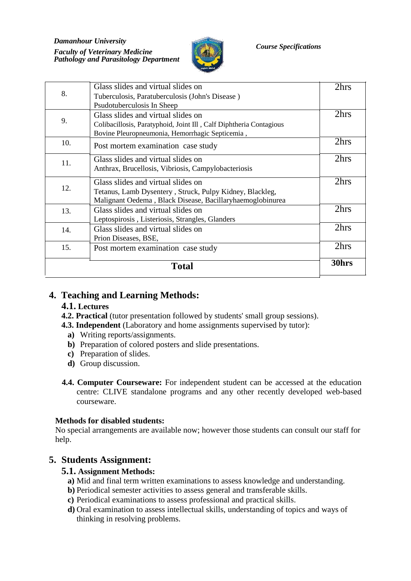*Damanhour University Faculty of Veterinary Medicine Course Specifications Pathology and Parasitology Department*



| Total |                                                                                                                                                             |      |  |  |  |  |  |  |
|-------|-------------------------------------------------------------------------------------------------------------------------------------------------------------|------|--|--|--|--|--|--|
| 15.   | Post mortem examination case study                                                                                                                          | 2hrs |  |  |  |  |  |  |
| 14.   | Glass slides and virtual slides on<br>Prion Diseases, BSE,                                                                                                  | 2hrs |  |  |  |  |  |  |
| 13.   | Glass slides and virtual slides on<br>Leptospirosis, Listeriosis, Strangles, Glanders                                                                       | 2hrs |  |  |  |  |  |  |
| 12.   | Glass slides and virtual slides on<br>Tetanus, Lamb Dysentery, Struck, Pulpy Kidney, Blackleg,<br>Malignant Oedema, Black Disease, Bacillaryhaemoglobinurea | 2hrs |  |  |  |  |  |  |
| 11.   | Glass slides and virtual slides on<br>Anthrax, Brucellosis, Vibriosis, Campylobacteriosis                                                                   | 2hrs |  |  |  |  |  |  |
| 10.   | Post mortem examination case study                                                                                                                          | 2hrs |  |  |  |  |  |  |
| 9.    | Glass slides and virtual slides on<br>Colibacillosis, Paratyphoid, Joint Ill, Calf Diphtheria Contagious<br>Bovine Pleuropneumonia, Hemorrhagic Septicemia, | 2hrs |  |  |  |  |  |  |
| 8.    | Tuberculosis, Paratuberculosis (John's Disease)<br>Psudotuberculosis In Sheep                                                                               |      |  |  |  |  |  |  |
|       | Glass slides and virtual slides on                                                                                                                          | 2hrs |  |  |  |  |  |  |

## **4. Teaching and Learning Methods:**

### **4.1. Lectures**

- **4.2. Practical** (tutor presentation followed by students' small group sessions).
- **4.3. Independent** (Laboratory and home assignments supervised by tutor):
	- **a)** Writing reports/assignments.
	- **b)** Preparation of colored posters and slide presentations.
	- **c)** Preparation of slides.
	- **d)** Group discussion.
- **4.4. Computer Courseware:** For independent student can be accessed at the education centre: CLIVE standalone programs and any other recently developed web-based courseware.

#### **Methods for disabled students:**

No special arrangements are available now; however those students can consult our staff for help.

### **5. Students Assignment:**

#### **5.1. Assignment Methods:**

- **a)** Mid and final term written examinations to assess knowledge and understanding.
- **b)** Periodical semester activities to assess general and transferable skills.
- **c)** Periodical examinations to assess professional and practical skills.
- **d)** Oral examination to assess intellectual skills, understanding of topics and ways of thinking in resolving problems.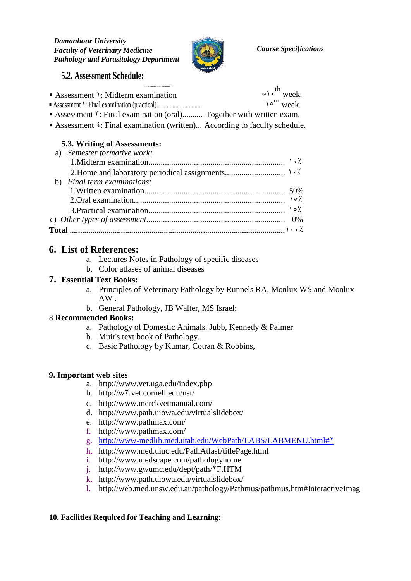

## **5.2. Assessment Schedule:**

| Assessment $\cdot$ : Midterm examination                                       | $\sim \cdot$ <sup>th</sup> week.  |
|--------------------------------------------------------------------------------|-----------------------------------|
|                                                                                | $\gamma \circ^{\text{III}}$ week. |
| Assessment <sup>T</sup> : Final examination (oral) Together with written exam. |                                   |

■ Assessment <sup>₹</sup>: Final examination (written)... According to faculty schedule.

### **5.3. Writing of Assessments:**

| a) Semester formative work: |  |
|-----------------------------|--|
|                             |  |
|                             |  |
| b) Final term examinations: |  |
|                             |  |
|                             |  |
|                             |  |
|                             |  |
|                             |  |

## **6. List of References:**

- a. Lectures Notes in Pathology of specific diseases
- b. Color atlases of animal diseases

#### **7. Essential Text Books:**

- a. Principles of Veterinary Pathology by Runnels RA, Monlux WS and Monlux AW .
- b. General Pathology, JB Walter, MS Israel:

### 8.**Recommended Books:**

- a. Pathology of Domestic Animals. Jubb, Kennedy & Palmer
- b. Muir's text book of Pathology.
- c. Basic Pathology by Kumar, Cotran & Robbins,

#### **9. Important web sites**

- a. http://www.vet.uga.edu/index.php
- b. http://w٣.vet.cornell.edu/nst/
- c. http://www.merckvetmanual.com/
- d. http://www.path.uiowa.edu/virtualslidebox/
- e. http://www.pathmax.com/
- f. http://www.pathmax.com/
- g. http://www-medlib.med.utah.edu/WebPath/LABS/LABMENU.html#٢
- h. http://www.med.uiuc.edu/PathAtlasf/titlePage.html
- i. http://www.medscape.com/pathologyhome
- j. http://www.gwumc.edu/dept/path/٢F.HTM
- k. http://www.path.uiowa.edu/virtualslidebox/
- l. http://web.med.unsw.edu.au/pathology/Pathmus/pathmus.htm#InteractiveImag

#### **10. Facilities Required for Teaching and Learning:**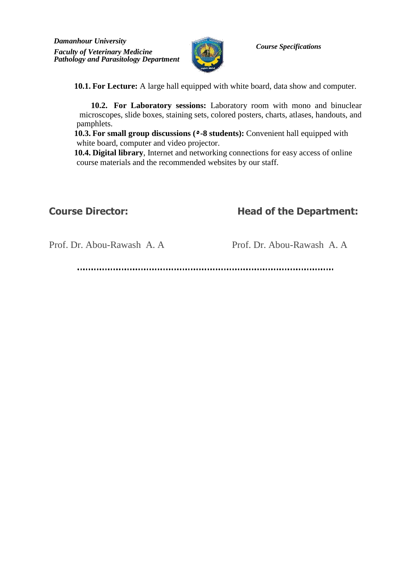

**10.1. For Lecture:** A large hall equipped with white board, data show and computer.

**10.2. For Laboratory sessions:** Laboratory room with mono and binuclear microscopes, slide boxes, staining sets, colored posters, charts, atlases, handouts, and pamphlets.

**10.3. For small group discussions (٥-8 students):** Convenient hall equipped with white board, computer and video projector.

**10.4. Digital library**, Internet and networking connections for easy access of online course materials and the recommended websites by our staff.

## **Course Director: Head of the Department:**

Prof. Dr. Abou-Rawash A. A Prof. Dr. Abou-Rawash A. A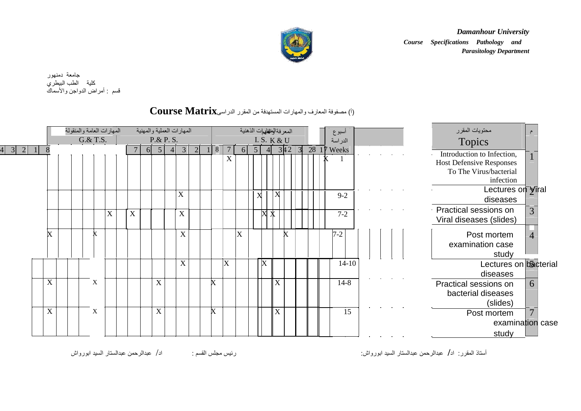

*Damanhour University Course Specifications Pathology and Parasitology Department*

جامعة دمنھور كلیة الطب البیطري قسم : أمراض الدواجن والأسماك

## )أ( مصفوفة المعارف والمھارات المستھدفة من المقرر الدراسى**Matrix Course**

|                      | المهارات العامة والمنقولة |   |                           |    |                | المهارات العملية والمهنية |                |                                      |                          |     |                | المعر فةالوالفلهيات الذهنية |                    |      |              | اسبوع       |  |  | محتويات المقرر                                                                          |                  |
|----------------------|---------------------------|---|---------------------------|----|----------------|---------------------------|----------------|--------------------------------------|--------------------------|-----|----------------|-----------------------------|--------------------|------|--------------|-------------|--|--|-----------------------------------------------------------------------------------------|------------------|
|                      | G.& T.S.                  |   |                           |    | P.& P. S.      |                           |                |                                      |                          |     |                | I. S. K & U                 |                    |      | $\mathbf{R}$ | الدراسة     |  |  | <b>Topics</b>                                                                           |                  |
| $3 \mid 2 \mid$<br>8 |                           |   |                           | 61 | 5 <sup>5</sup> | 3 <sup>1</sup><br>$-4h$   | $\overline{2}$ | 8                                    | $\overline{7}$<br>X      | -61 | 5 <sup>1</sup> | $\vert$ 41                  |                    | 3 42 |              | 28 17 Weeks |  |  | Introduction to Infection,<br><b>Host Defensive Responses</b><br>To The Virus/bacterial |                  |
|                      |                           |   |                           |    |                |                           |                |                                      |                          |     |                |                             |                    |      |              |             |  |  | infection                                                                               |                  |
|                      |                           |   |                           |    |                | X                         |                |                                      |                          |     |                | X                           | $\boldsymbol{X}$   |      |              | $9 - 2$     |  |  | Lectures on Viral<br>diseases                                                           |                  |
|                      |                           | X | $\boldsymbol{\mathrm{X}}$ |    |                | $\mathbf X$               |                |                                      |                          |     |                |                             | $\pmb{\mathbb{X}}$ |      |              | $7 - 2$     |  |  | Practical sessions on<br>Viral diseases (slides)                                        | 3                |
| X                    |                           |   |                           |    |                | $\boldsymbol{\mathrm{X}}$ |                |                                      |                          | X   |                |                             |                    | X    |              | $7 - 2$     |  |  | Post mortem<br>examination case<br>study                                                |                  |
|                      |                           |   |                           |    |                | $\mathbf X$               |                |                                      | $\vert \mathrm{X} \vert$ |     |                | $\boldsymbol{\mathrm{X}}$   |                    |      |              | $14-10$     |  |  | Lectures on bacterial<br>diseases                                                       |                  |
| X                    | X                         |   |                           |    | $\mathbf X$    |                           |                | X                                    |                          |     |                |                             | X                  |      |              | $14 - 8$    |  |  | Practical sessions on<br>bacterial diseases<br>(slides)                                 | $\theta$         |
| $\mathbf X$          | X                         |   |                           |    | $\mathbf X$    |                           |                | $\pmb{\mathop{\mathsf{X}}\nolimits}$ |                          |     |                |                             | X                  |      |              | 15          |  |  | Post mortem                                                                             |                  |
|                      |                           |   |                           |    |                |                           |                |                                      |                          |     |                |                             |                    |      |              |             |  |  |                                                                                         | examination case |
|                      |                           |   |                           |    |                |                           |                |                                      |                          |     |                |                             |                    |      |              |             |  |  | study                                                                                   |                  |

أستاذ المقرر: اد**/** عبدالرحمن عبدالستار السید ابورواش: رئیس مجلس القسم : اد/ عبدالرحمن عبدالستار السید ابورواش